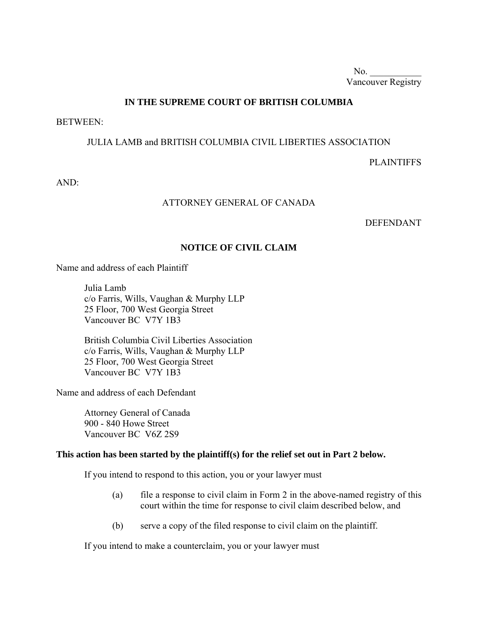No.  $\qquad$ Vancouver Registry

## **IN THE SUPREME COURT OF BRITISH COLUMBIA**

BETWEEN:

#### JULIA LAMB and BRITISH COLUMBIA CIVIL LIBERTIES ASSOCIATION

PLAINTIFFS

AND:

#### ATTORNEY GENERAL OF CANADA

DEFENDANT

## **NOTICE OF CIVIL CLAIM**

Name and address of each Plaintiff

Julia Lamb c/o Farris, Wills, Vaughan & Murphy LLP 25 Floor, 700 West Georgia Street Vancouver BC V7Y 1B3

British Columbia Civil Liberties Association c/o Farris, Wills, Vaughan & Murphy LLP 25 Floor, 700 West Georgia Street Vancouver BC V7Y 1B3

Name and address of each Defendant

Attorney General of Canada 900 - 840 Howe Street Vancouver BC V6Z 2S9

#### **This action has been started by the plaintiff(s) for the relief set out in Part 2 below.**

If you intend to respond to this action, you or your lawyer must

- (a) file a response to civil claim in Form 2 in the above-named registry of this court within the time for response to civil claim described below, and
- (b) serve a copy of the filed response to civil claim on the plaintiff.

If you intend to make a counterclaim, you or your lawyer must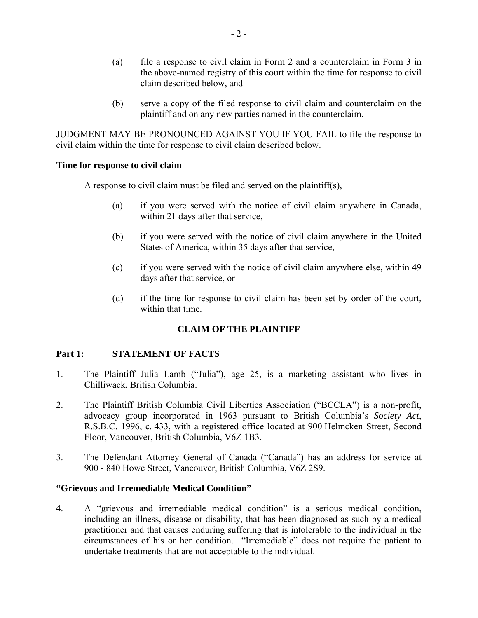- (a) file a response to civil claim in Form 2 and a counterclaim in Form 3 in the above-named registry of this court within the time for response to civil claim described below, and
- (b) serve a copy of the filed response to civil claim and counterclaim on the plaintiff and on any new parties named in the counterclaim.

JUDGMENT MAY BE PRONOUNCED AGAINST YOU IF YOU FAIL to file the response to civil claim within the time for response to civil claim described below.

#### **Time for response to civil claim**

A response to civil claim must be filed and served on the plaintiff(s),

- (a) if you were served with the notice of civil claim anywhere in Canada, within 21 days after that service,
- (b) if you were served with the notice of civil claim anywhere in the United States of America, within 35 days after that service,
- (c) if you were served with the notice of civil claim anywhere else, within 49 days after that service, or
- (d) if the time for response to civil claim has been set by order of the court, within that time.

#### **CLAIM OF THE PLAINTIFF**

#### **Part 1: STATEMENT OF FACTS**

- 1. The Plaintiff Julia Lamb ("Julia"), age 25, is a marketing assistant who lives in Chilliwack, British Columbia.
- 2. The Plaintiff British Columbia Civil Liberties Association ("BCCLA") is a non-profit, advocacy group incorporated in 1963 pursuant to British Columbia's *Society Act*, R.S.B.C. 1996, c. 433, with a registered office located at 900 Helmcken Street, Second Floor, Vancouver, British Columbia, V6Z 1B3.
- 3. The Defendant Attorney General of Canada ("Canada") has an address for service at 900 - 840 Howe Street, Vancouver, British Columbia, V6Z 2S9.

#### **"Grievous and Irremediable Medical Condition"**

4. A "grievous and irremediable medical condition" is a serious medical condition, including an illness, disease or disability, that has been diagnosed as such by a medical practitioner and that causes enduring suffering that is intolerable to the individual in the circumstances of his or her condition. "Irremediable" does not require the patient to undertake treatments that are not acceptable to the individual.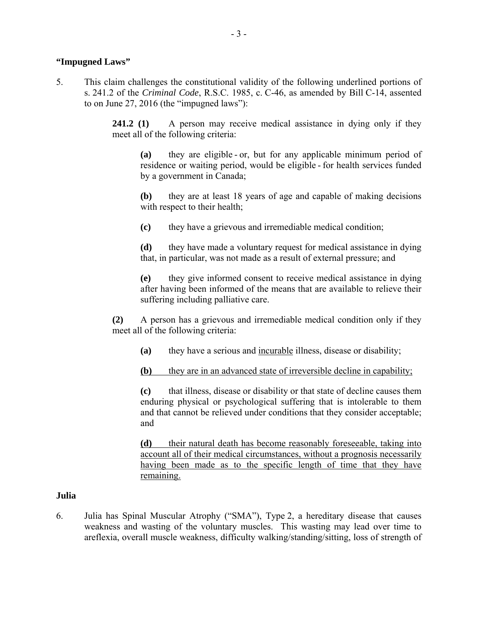### **"Impugned Laws"**

5. This claim challenges the constitutional validity of the following underlined portions of s. 241.2 of the *Criminal Code*, R.S.C. 1985, c. C-46, as amended by Bill C-14, assented to on June 27, 2016 (the "impugned laws"):

> **241.2 (1)** A person may receive medical assistance in dying only if they meet all of the following criteria:

**(a)** they are eligible - or, but for any applicable minimum period of residence or waiting period, would be eligible - for health services funded by a government in Canada;

**(b)** they are at least 18 years of age and capable of making decisions with respect to their health;

**(c)** they have a grievous and irremediable medical condition;

**(d)** they have made a voluntary request for medical assistance in dying that, in particular, was not made as a result of external pressure; and

**(e)** they give informed consent to receive medical assistance in dying after having been informed of the means that are available to relieve their suffering including palliative care.

**(2)** A person has a grievous and irremediable medical condition only if they meet all of the following criteria:

- **(a)** they have a serious and incurable illness, disease or disability;
- **(b)** they are in an advanced state of irreversible decline in capability;

**(c)** that illness, disease or disability or that state of decline causes them enduring physical or psychological suffering that is intolerable to them and that cannot be relieved under conditions that they consider acceptable; and

**(d)** their natural death has become reasonably foreseeable, taking into account all of their medical circumstances, without a prognosis necessarily having been made as to the specific length of time that they have remaining.

## **Julia**

6. Julia has Spinal Muscular Atrophy ("SMA"), Type 2, a hereditary disease that causes weakness and wasting of the voluntary muscles. This wasting may lead over time to areflexia, overall muscle weakness, difficulty walking/standing/sitting, loss of strength of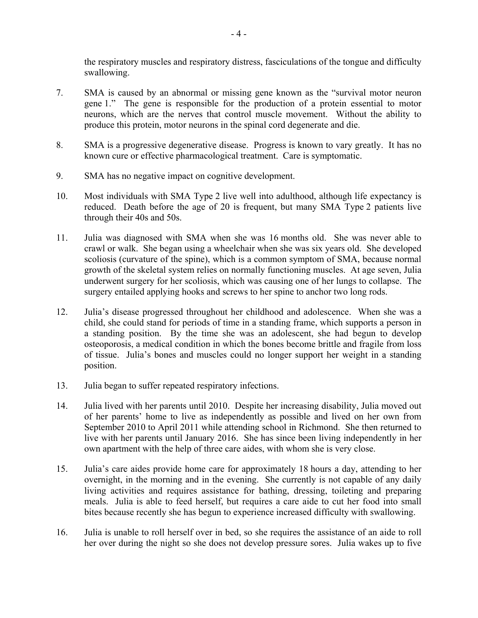the respiratory muscles and respiratory distress, fasciculations of the tongue and difficulty swallowing.

- 7. SMA is caused by an abnormal or missing gene known as the "survival motor neuron gene 1." The gene is responsible for the production of a protein essential to motor neurons, which are the nerves that control muscle movement. Without the ability to produce this protein, motor neurons in the spinal cord degenerate and die.
- 8. SMA is a progressive degenerative disease. Progress is known to vary greatly. It has no known cure or effective pharmacological treatment. Care is symptomatic.
- 9. SMA has no negative impact on cognitive development.
- 10. Most individuals with SMA Type 2 live well into adulthood, although life expectancy is reduced. Death before the age of 20 is frequent, but many SMA Type 2 patients live through their 40s and 50s.
- 11. Julia was diagnosed with SMA when she was 16 months old. She was never able to crawl or walk. She began using a wheelchair when she was six years old. She developed scoliosis (curvature of the spine), which is a common symptom of SMA, because normal growth of the skeletal system relies on normally functioning muscles. At age seven, Julia underwent surgery for her scoliosis, which was causing one of her lungs to collapse. The surgery entailed applying hooks and screws to her spine to anchor two long rods.
- 12. Julia's disease progressed throughout her childhood and adolescence. When she was a child, she could stand for periods of time in a standing frame, which supports a person in a standing position. By the time she was an adolescent, she had begun to develop osteoporosis, a medical condition in which the bones become brittle and fragile from loss of tissue. Julia's bones and muscles could no longer support her weight in a standing position.
- 13. Julia began to suffer repeated respiratory infections.
- 14. Julia lived with her parents until 2010. Despite her increasing disability, Julia moved out of her parents' home to live as independently as possible and lived on her own from September 2010 to April 2011 while attending school in Richmond. She then returned to live with her parents until January 2016. She has since been living independently in her own apartment with the help of three care aides, with whom she is very close.
- 15. Julia's care aides provide home care for approximately 18 hours a day, attending to her overnight, in the morning and in the evening. She currently is not capable of any daily living activities and requires assistance for bathing, dressing, toileting and preparing meals. Julia is able to feed herself, but requires a care aide to cut her food into small bites because recently she has begun to experience increased difficulty with swallowing.
- 16. Julia is unable to roll herself over in bed, so she requires the assistance of an aide to roll her over during the night so she does not develop pressure sores. Julia wakes up to five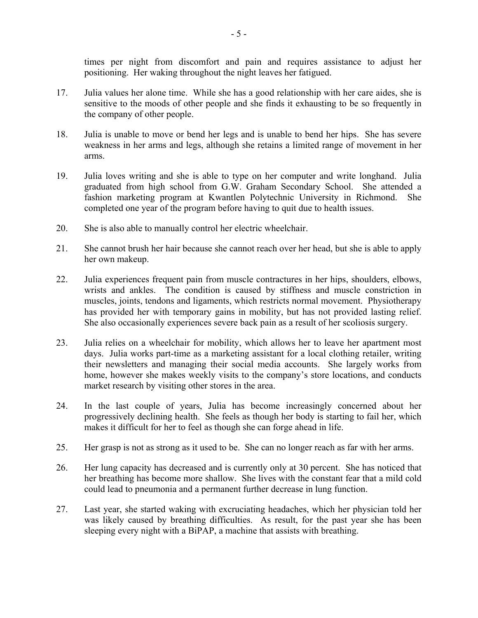times per night from discomfort and pain and requires assistance to adjust her positioning. Her waking throughout the night leaves her fatigued.

- 17. Julia values her alone time. While she has a good relationship with her care aides, she is sensitive to the moods of other people and she finds it exhausting to be so frequently in the company of other people.
- 18. Julia is unable to move or bend her legs and is unable to bend her hips. She has severe weakness in her arms and legs, although she retains a limited range of movement in her arms.
- 19. Julia loves writing and she is able to type on her computer and write longhand. Julia graduated from high school from G.W. Graham Secondary School. She attended a fashion marketing program at Kwantlen Polytechnic University in Richmond. She completed one year of the program before having to quit due to health issues.
- 20. She is also able to manually control her electric wheelchair.
- 21. She cannot brush her hair because she cannot reach over her head, but she is able to apply her own makeup.
- 22. Julia experiences frequent pain from muscle contractures in her hips, shoulders, elbows, wrists and ankles. The condition is caused by stiffness and muscle constriction in muscles, joints, tendons and ligaments, which restricts normal movement. Physiotherapy has provided her with temporary gains in mobility, but has not provided lasting relief. She also occasionally experiences severe back pain as a result of her scoliosis surgery.
- 23. Julia relies on a wheelchair for mobility, which allows her to leave her apartment most days. Julia works part-time as a marketing assistant for a local clothing retailer, writing their newsletters and managing their social media accounts. She largely works from home, however she makes weekly visits to the company's store locations, and conducts market research by visiting other stores in the area.
- 24. In the last couple of years, Julia has become increasingly concerned about her progressively declining health. She feels as though her body is starting to fail her, which makes it difficult for her to feel as though she can forge ahead in life.
- 25. Her grasp is not as strong as it used to be. She can no longer reach as far with her arms.
- 26. Her lung capacity has decreased and is currently only at 30 percent. She has noticed that her breathing has become more shallow. She lives with the constant fear that a mild cold could lead to pneumonia and a permanent further decrease in lung function.
- 27. Last year, she started waking with excruciating headaches, which her physician told her was likely caused by breathing difficulties. As result, for the past year she has been sleeping every night with a BiPAP, a machine that assists with breathing.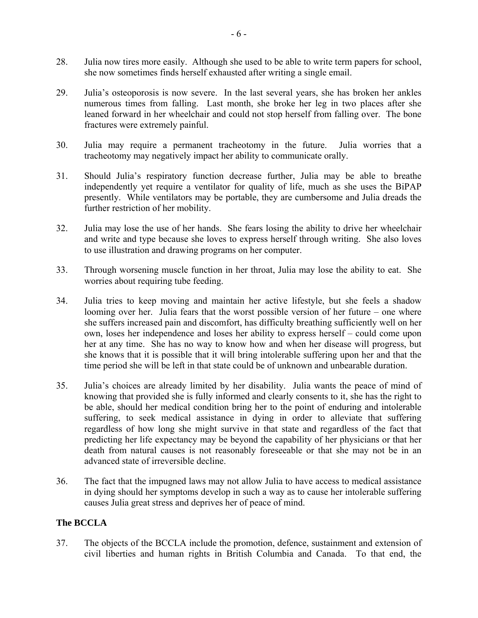- 28. Julia now tires more easily. Although she used to be able to write term papers for school, she now sometimes finds herself exhausted after writing a single email.
- 29. Julia's osteoporosis is now severe. In the last several years, she has broken her ankles numerous times from falling. Last month, she broke her leg in two places after she leaned forward in her wheelchair and could not stop herself from falling over. The bone fractures were extremely painful.
- 30. Julia may require a permanent tracheotomy in the future. Julia worries that a tracheotomy may negatively impact her ability to communicate orally.
- 31. Should Julia's respiratory function decrease further, Julia may be able to breathe independently yet require a ventilator for quality of life, much as she uses the BiPAP presently. While ventilators may be portable, they are cumbersome and Julia dreads the further restriction of her mobility.
- 32. Julia may lose the use of her hands. She fears losing the ability to drive her wheelchair and write and type because she loves to express herself through writing. She also loves to use illustration and drawing programs on her computer.
- 33. Through worsening muscle function in her throat, Julia may lose the ability to eat. She worries about requiring tube feeding.
- 34. Julia tries to keep moving and maintain her active lifestyle, but she feels a shadow looming over her. Julia fears that the worst possible version of her future – one where she suffers increased pain and discomfort, has difficulty breathing sufficiently well on her own, loses her independence and loses her ability to express herself – could come upon her at any time. She has no way to know how and when her disease will progress, but she knows that it is possible that it will bring intolerable suffering upon her and that the time period she will be left in that state could be of unknown and unbearable duration.
- 35. Julia's choices are already limited by her disability. Julia wants the peace of mind of knowing that provided she is fully informed and clearly consents to it, she has the right to be able, should her medical condition bring her to the point of enduring and intolerable suffering, to seek medical assistance in dying in order to alleviate that suffering regardless of how long she might survive in that state and regardless of the fact that predicting her life expectancy may be beyond the capability of her physicians or that her death from natural causes is not reasonably foreseeable or that she may not be in an advanced state of irreversible decline.
- 36. The fact that the impugned laws may not allow Julia to have access to medical assistance in dying should her symptoms develop in such a way as to cause her intolerable suffering causes Julia great stress and deprives her of peace of mind.

## **The BCCLA**

37. The objects of the BCCLA include the promotion, defence, sustainment and extension of civil liberties and human rights in British Columbia and Canada. To that end, the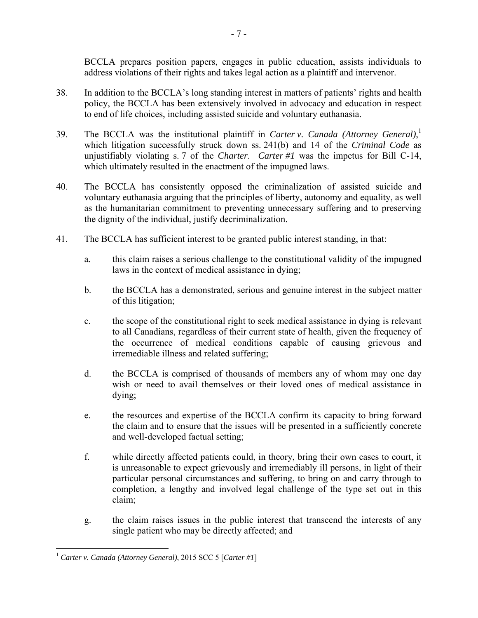BCCLA prepares position papers, engages in public education, assists individuals to address violations of their rights and takes legal action as a plaintiff and intervenor.

- 38. In addition to the BCCLA's long standing interest in matters of patients' rights and health policy, the BCCLA has been extensively involved in advocacy and education in respect to end of life choices, including assisted suicide and voluntary euthanasia.
- 39. The BCCLA was the institutional plaintiff in *Carter v. Canada (Attorney General)*, 1 which litigation successfully struck down ss. 241(b) and 14 of the *Criminal Code* as unjustifiably violating s. 7 of the *Charter*. *Carter #1* was the impetus for Bill C-14, which ultimately resulted in the enactment of the impugned laws.
- 40. The BCCLA has consistently opposed the criminalization of assisted suicide and voluntary euthanasia arguing that the principles of liberty, autonomy and equality, as well as the humanitarian commitment to preventing unnecessary suffering and to preserving the dignity of the individual, justify decriminalization.
- 41. The BCCLA has sufficient interest to be granted public interest standing, in that:
	- a. this claim raises a serious challenge to the constitutional validity of the impugned laws in the context of medical assistance in dying;
	- b. the BCCLA has a demonstrated, serious and genuine interest in the subject matter of this litigation;
	- c. the scope of the constitutional right to seek medical assistance in dying is relevant to all Canadians, regardless of their current state of health, given the frequency of the occurrence of medical conditions capable of causing grievous and irremediable illness and related suffering;
	- d. the BCCLA is comprised of thousands of members any of whom may one day wish or need to avail themselves or their loved ones of medical assistance in dying;
	- e. the resources and expertise of the BCCLA confirm its capacity to bring forward the claim and to ensure that the issues will be presented in a sufficiently concrete and well-developed factual setting;
	- f. while directly affected patients could, in theory, bring their own cases to court, it is unreasonable to expect grievously and irremediably ill persons, in light of their particular personal circumstances and suffering, to bring on and carry through to completion, a lengthy and involved legal challenge of the type set out in this claim;
	- g. the claim raises issues in the public interest that transcend the interests of any single patient who may be directly affected; and

<sup>&</sup>lt;u>.</u> <sup>1</sup> *Carter v. Canada (Attorney General)*, 2015 SCC 5 [*Carter #1*]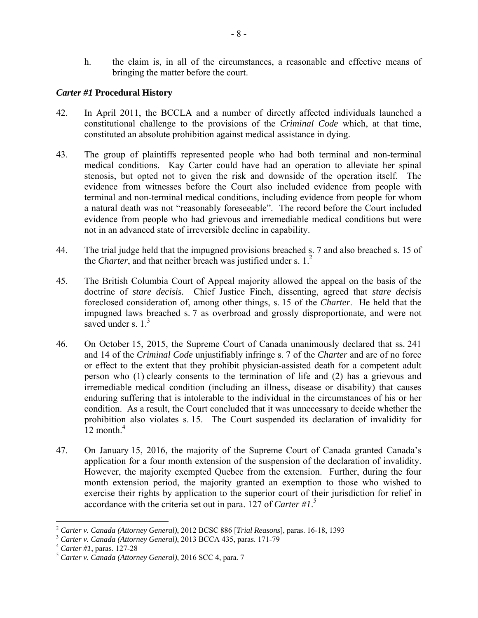h. the claim is, in all of the circumstances, a reasonable and effective means of bringing the matter before the court.

## *Carter #1* **Procedural History**

- 42. In April 2011, the BCCLA and a number of directly affected individuals launched a constitutional challenge to the provisions of the *Criminal Code* which, at that time, constituted an absolute prohibition against medical assistance in dying.
- 43. The group of plaintiffs represented people who had both terminal and non-terminal medical conditions. Kay Carter could have had an operation to alleviate her spinal stenosis, but opted not to given the risk and downside of the operation itself. The evidence from witnesses before the Court also included evidence from people with terminal and non-terminal medical conditions, including evidence from people for whom a natural death was not "reasonably foreseeable". The record before the Court included evidence from people who had grievous and irremediable medical conditions but were not in an advanced state of irreversible decline in capability.
- 44. The trial judge held that the impugned provisions breached s. 7 and also breached s. 15 of the *Charter*, and that neither breach was justified under s. 1.<sup>2</sup>
- 45. The British Columbia Court of Appeal majority allowed the appeal on the basis of the doctrine of *stare decisis.* Chief Justice Finch, dissenting, agreed that *stare decisis*  foreclosed consideration of, among other things, s. 15 of the *Charter*. He held that the impugned laws breached s. 7 as overbroad and grossly disproportionate, and were not saved under s.  $1<sup>3</sup>$
- 46. On October 15, 2015, the Supreme Court of Canada unanimously declared that ss. 241 and 14 of the *Criminal Code* unjustifiably infringe s. 7 of the *Charter* and are of no force or effect to the extent that they prohibit physician-assisted death for a competent adult person who (1) clearly consents to the termination of life and (2) has a grievous and irremediable medical condition (including an illness, disease or disability) that causes enduring suffering that is intolerable to the individual in the circumstances of his or her condition. As a result, the Court concluded that it was unnecessary to decide whether the prohibition also violates s. 15. The Court suspended its declaration of invalidity for  $12$  month.<sup>4</sup>
- 47. On January 15, 2016, the majority of the Supreme Court of Canada granted Canada's application for a four month extension of the suspension of the declaration of invalidity. However, the majority exempted Quebec from the extension. Further, during the four month extension period, the majority granted an exemption to those who wished to exercise their rights by application to the superior court of their jurisdiction for relief in accordance with the criteria set out in para. 127 of *Carter #1*. 5

<sup>&</sup>lt;sup>2</sup> Carter v. Canada (Attorney General), 2012 BCSC 886 [Trial Reasons], paras. 16-18, 1393

 $\frac{3}{3}$  Carter v. Canada (Attorney General), 2013 BCCA 435, paras. 171-79<sup>7</sup><br> $\frac{4}{3}$  Carter #1, paras. 127-28<br> $\frac{5}{3}$  Carter v. Canada (Attorney General), 2016 SCC 4, para. 7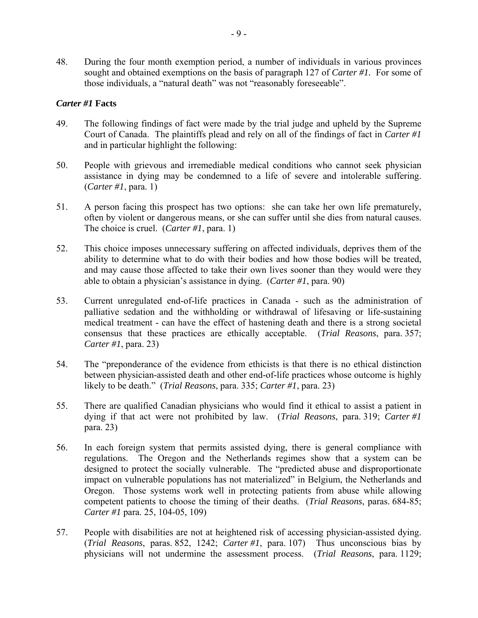48. During the four month exemption period, a number of individuals in various provinces sought and obtained exemptions on the basis of paragraph 127 of *Carter #1.* For some of those individuals, a "natural death" was not "reasonably foreseeable".

#### *Carter #1* **Facts**

- 49. The following findings of fact were made by the trial judge and upheld by the Supreme Court of Canada. The plaintiffs plead and rely on all of the findings of fact in *Carter #1* and in particular highlight the following:
- 50. People with grievous and irremediable medical conditions who cannot seek physician assistance in dying may be condemned to a life of severe and intolerable suffering. (*Carter #1*, para. 1)
- 51. A person facing this prospect has two options: she can take her own life prematurely, often by violent or dangerous means, or she can suffer until she dies from natural causes. The choice is cruel. (*Carter #1*, para. 1)
- 52. This choice imposes unnecessary suffering on affected individuals, deprives them of the ability to determine what to do with their bodies and how those bodies will be treated, and may cause those affected to take their own lives sooner than they would were they able to obtain a physician's assistance in dying. (*Carter #1*, para. 90)
- 53. Current unregulated end-of-life practices in Canada such as the administration of palliative sedation and the withholding or withdrawal of lifesaving or life-sustaining medical treatment - can have the effect of hastening death and there is a strong societal consensus that these practices are ethically acceptable. (*Trial Reasons*, para. 357; *Carter #1*, para. 23)
- 54. The "preponderance of the evidence from ethicists is that there is no ethical distinction between physician-assisted death and other end-of-life practices whose outcome is highly likely to be death." (*Trial Reasons*, para. 335; *Carter #1*, para. 23)
- 55. There are qualified Canadian physicians who would find it ethical to assist a patient in dying if that act were not prohibited by law. (*Trial Reasons*, para. 319; *Carter #1* para. 23)
- 56. In each foreign system that permits assisted dying, there is general compliance with regulations. The Oregon and the Netherlands regimes show that a system can be designed to protect the socially vulnerable. The "predicted abuse and disproportionate impact on vulnerable populations has not materialized" in Belgium, the Netherlands and Oregon. Those systems work well in protecting patients from abuse while allowing competent patients to choose the timing of their deaths. (*Trial Reasons*, paras. 684-85; *Carter #1* para. 25, 104-05, 109)
- 57. People with disabilities are not at heightened risk of accessing physician-assisted dying. (*Trial Reasons*, paras. 852, 1242; *Carter #1*, para. 107) Thus unconscious bias by physicians will not undermine the assessment process. (*Trial Reasons*, para. 1129;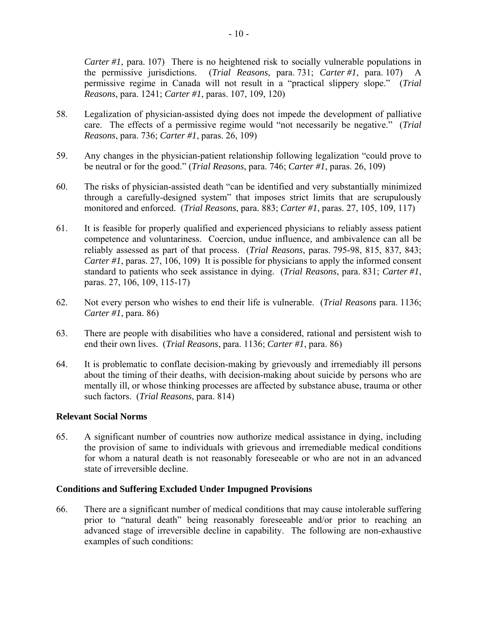*Carter #1*, para. 107) There is no heightened risk to socially vulnerable populations in the permissive jurisdictions. (*Trial Reasons*, para. 731; *Carter #1*, para. 107) A permissive regime in Canada will not result in a "practical slippery slope." (*Trial Reasons*, para. 1241; *Carter #1*, paras. 107, 109, 120)

- 58. Legalization of physician-assisted dying does not impede the development of palliative care. The effects of a permissive regime would "not necessarily be negative." (*Trial Reasons*, para. 736; *Carter #1*, paras. 26, 109)
- 59. Any changes in the physician-patient relationship following legalization "could prove to be neutral or for the good." (*Trial Reasons*, para. 746; *Carter #1*, paras. 26, 109)
- 60. The risks of physician-assisted death "can be identified and very substantially minimized through a carefully-designed system" that imposes strict limits that are scrupulously monitored and enforced. (*Trial Reasons*, para. 883; *Carter #1*, paras. 27, 105, 109, 117)
- 61. It is feasible for properly qualified and experienced physicians to reliably assess patient competence and voluntariness. Coercion, undue influence, and ambivalence can all be reliably assessed as part of that process. (*Trial Reasons*, paras. 795-98, 815, 837, 843; *Carter #1*, paras. 27, 106, 109) It is possible for physicians to apply the informed consent standard to patients who seek assistance in dying. (*Trial Reasons*, para. 831; *Carter #1*, paras. 27, 106, 109, 115-17)
- 62. Not every person who wishes to end their life is vulnerable. (*Trial Reasons* para. 1136; *Carter #1*, para. 86)
- 63. There are people with disabilities who have a considered, rational and persistent wish to end their own lives. (*Trial Reasons*, para. 1136; *Carter #1*, para. 86)
- 64. It is problematic to conflate decision-making by grievously and irremediably ill persons about the timing of their deaths, with decision-making about suicide by persons who are mentally ill, or whose thinking processes are affected by substance abuse, trauma or other such factors. (*Trial Reasons*, para. 814)

#### **Relevant Social Norms**

65. A significant number of countries now authorize medical assistance in dying, including the provision of same to individuals with grievous and irremediable medical conditions for whom a natural death is not reasonably foreseeable or who are not in an advanced state of irreversible decline.

#### **Conditions and Suffering Excluded Under Impugned Provisions**

66. There are a significant number of medical conditions that may cause intolerable suffering prior to "natural death" being reasonably foreseeable and/or prior to reaching an advanced stage of irreversible decline in capability. The following are non-exhaustive examples of such conditions: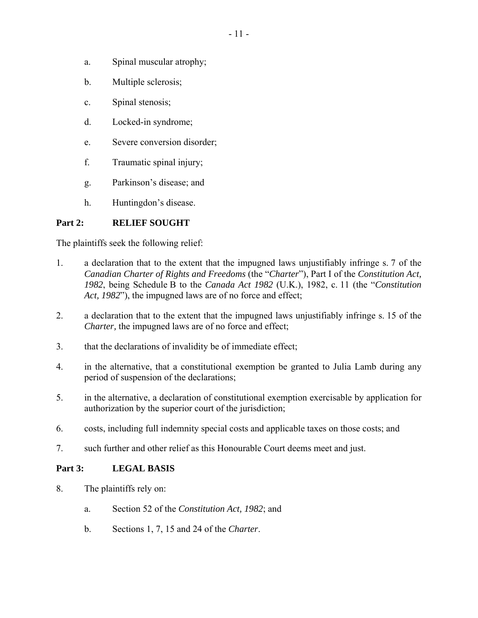- a. Spinal muscular atrophy;
- b. Multiple sclerosis;
- c. Spinal stenosis;
- d. Locked-in syndrome;
- e. Severe conversion disorder;
- f. Traumatic spinal injury;
- g. Parkinson's disease; and
- h. Huntingdon's disease.

## **Part 2: RELIEF SOUGHT**

The plaintiffs seek the following relief:

- 1. a declaration that to the extent that the impugned laws unjustifiably infringe s. 7 of the *Canadian Charter of Rights and Freedoms* (the "*Charter*"), Part I of the *Constitution Act, 1982*, being Schedule B to the *Canada Act 1982* (U.K.), 1982, c. 11 (the "*Constitution Act, 1982*"), the impugned laws are of no force and effect;
- 2. a declaration that to the extent that the impugned laws unjustifiably infringe s. 15 of the *Charter,* the impugned laws are of no force and effect;
- 3. that the declarations of invalidity be of immediate effect;
- 4. in the alternative, that a constitutional exemption be granted to Julia Lamb during any period of suspension of the declarations;
- 5. in the alternative, a declaration of constitutional exemption exercisable by application for authorization by the superior court of the jurisdiction;
- 6. costs, including full indemnity special costs and applicable taxes on those costs; and
- 7. such further and other relief as this Honourable Court deems meet and just.

## **Part 3: LEGAL BASIS**

- 8. The plaintiffs rely on:
	- a. Section 52 of the *Constitution Act, 1982*; and
	- b. Sections 1, 7, 15 and 24 of the *Charter*.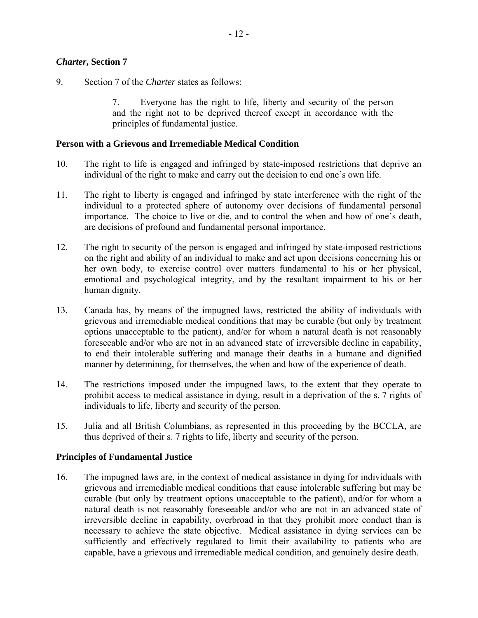#### *Charter***, Section 7**

9. Section 7 of the *Charter* states as follows:

7. Everyone has the right to life, liberty and security of the person and the right not to be deprived thereof except in accordance with the principles of fundamental justice.

#### **Person with a Grievous and Irremediable Medical Condition**

- 10. The right to life is engaged and infringed by state-imposed restrictions that deprive an individual of the right to make and carry out the decision to end one's own life.
- 11. The right to liberty is engaged and infringed by state interference with the right of the individual to a protected sphere of autonomy over decisions of fundamental personal importance. The choice to live or die, and to control the when and how of one's death, are decisions of profound and fundamental personal importance.
- 12. The right to security of the person is engaged and infringed by state-imposed restrictions on the right and ability of an individual to make and act upon decisions concerning his or her own body, to exercise control over matters fundamental to his or her physical, emotional and psychological integrity, and by the resultant impairment to his or her human dignity.
- 13. Canada has, by means of the impugned laws, restricted the ability of individuals with grievous and irremediable medical conditions that may be curable (but only by treatment options unacceptable to the patient), and/or for whom a natural death is not reasonably foreseeable and/or who are not in an advanced state of irreversible decline in capability, to end their intolerable suffering and manage their deaths in a humane and dignified manner by determining, for themselves, the when and how of the experience of death.
- 14. The restrictions imposed under the impugned laws, to the extent that they operate to prohibit access to medical assistance in dying, result in a deprivation of the s. 7 rights of individuals to life, liberty and security of the person.
- 15. Julia and all British Columbians, as represented in this proceeding by the BCCLA, are thus deprived of their s. 7 rights to life, liberty and security of the person.

#### **Principles of Fundamental Justice**

16. The impugned laws are, in the context of medical assistance in dying for individuals with grievous and irremediable medical conditions that cause intolerable suffering but may be curable (but only by treatment options unacceptable to the patient), and/or for whom a natural death is not reasonably foreseeable and/or who are not in an advanced state of irreversible decline in capability, overbroad in that they prohibit more conduct than is necessary to achieve the state objective. Medical assistance in dying services can be sufficiently and effectively regulated to limit their availability to patients who are capable, have a grievous and irremediable medical condition, and genuinely desire death.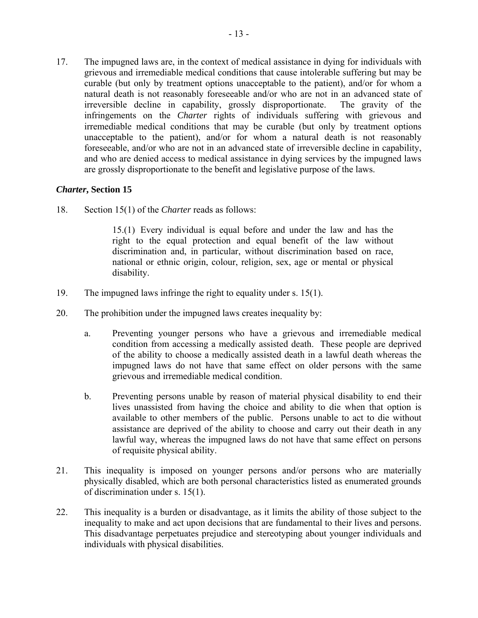17. The impugned laws are, in the context of medical assistance in dying for individuals with grievous and irremediable medical conditions that cause intolerable suffering but may be curable (but only by treatment options unacceptable to the patient), and/or for whom a natural death is not reasonably foreseeable and/or who are not in an advanced state of irreversible decline in capability, grossly disproportionate. The gravity of the infringements on the *Charter* rights of individuals suffering with grievous and irremediable medical conditions that may be curable (but only by treatment options unacceptable to the patient), and/or for whom a natural death is not reasonably foreseeable, and/or who are not in an advanced state of irreversible decline in capability, and who are denied access to medical assistance in dying services by the impugned laws are grossly disproportionate to the benefit and legislative purpose of the laws.

## *Charter***, Section 15**

18. Section 15(1) of the *Charter* reads as follows:

15.(1) Every individual is equal before and under the law and has the right to the equal protection and equal benefit of the law without discrimination and, in particular, without discrimination based on race, national or ethnic origin, colour, religion, sex, age or mental or physical disability.

- 19. The impugned laws infringe the right to equality under s. 15(1).
- 20. The prohibition under the impugned laws creates inequality by:
	- a. Preventing younger persons who have a grievous and irremediable medical condition from accessing a medically assisted death. These people are deprived of the ability to choose a medically assisted death in a lawful death whereas the impugned laws do not have that same effect on older persons with the same grievous and irremediable medical condition.
	- b. Preventing persons unable by reason of material physical disability to end their lives unassisted from having the choice and ability to die when that option is available to other members of the public. Persons unable to act to die without assistance are deprived of the ability to choose and carry out their death in any lawful way, whereas the impugned laws do not have that same effect on persons of requisite physical ability.
- 21. This inequality is imposed on younger persons and/or persons who are materially physically disabled, which are both personal characteristics listed as enumerated grounds of discrimination under s. 15(1).
- 22. This inequality is a burden or disadvantage, as it limits the ability of those subject to the inequality to make and act upon decisions that are fundamental to their lives and persons. This disadvantage perpetuates prejudice and stereotyping about younger individuals and individuals with physical disabilities.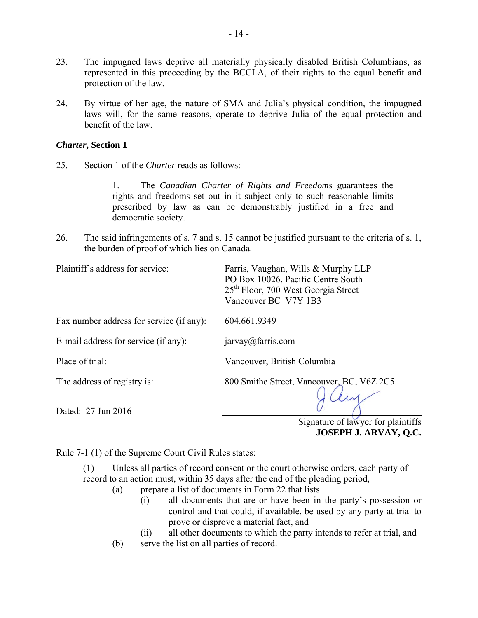- 23. The impugned laws deprive all materially physically disabled British Columbians, as represented in this proceeding by the BCCLA, of their rights to the equal benefit and protection of the law.
- 24. By virtue of her age, the nature of SMA and Julia's physical condition, the impugned laws will, for the same reasons, operate to deprive Julia of the equal protection and benefit of the law.

#### *Charter***, Section 1**

25. Section 1 of the *Charter* reads as follows:

1. The *Canadian Charter of Rights and Freedoms* guarantees the rights and freedoms set out in it subject only to such reasonable limits prescribed by law as can be demonstrably justified in a free and democratic society.

26. The said infringements of s. 7 and s. 15 cannot be justified pursuant to the criteria of s. 1, the burden of proof of which lies on Canada.

| Plaintiff's address for service:         | Farris, Vaughan, Wills & Murphy LLP<br>PO Box 10026, Pacific Centre South<br>25 <sup>th</sup> Floor, 700 West Georgia Street<br>Vancouver BC V7Y 1B3 |
|------------------------------------------|------------------------------------------------------------------------------------------------------------------------------------------------------|
| Fax number address for service (if any): | 604.661.9349                                                                                                                                         |
| E-mail address for service (if any):     | jarrow@farris.com                                                                                                                                    |
| Place of trial:                          | Vancouver, British Columbia                                                                                                                          |
| The address of registry is:              | 800 Smithe Street, Vancouver, BC, V6Z 2C5                                                                                                            |
| Dated: 27 Jun 2016                       | Signature of lawyer for plaintiff                                                                                                                    |

Signature of lawyer for plaintiffs **JOSEPH J. ARVAY, Q.C.** 

Rule 7-1 (1) of the Supreme Court Civil Rules states:

(1) Unless all parties of record consent or the court otherwise orders, each party of record to an action must, within 35 days after the end of the pleading period,

- (a) prepare a list of documents in Form 22 that lists
	- (i) all documents that are or have been in the party's possession or control and that could, if available, be used by any party at trial to prove or disprove a material fact, and
	- (ii) all other documents to which the party intends to refer at trial, and
- (b) serve the list on all parties of record.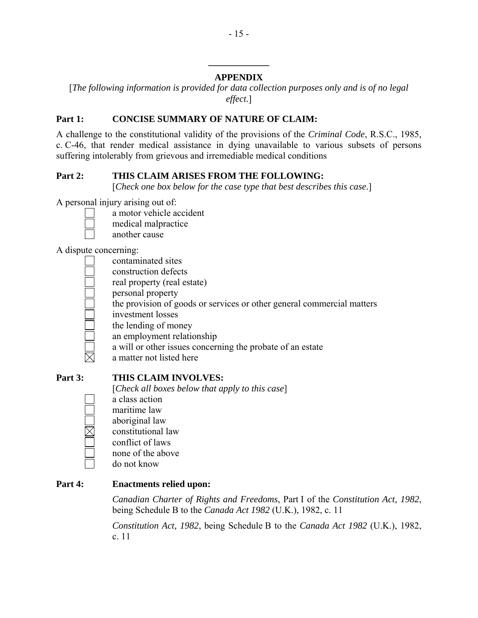# **APPENDIX**

**\_\_\_\_\_\_\_\_\_\_\_\_\_** 

[*The following information is provided for data collection purposes only and is of no legal effect.*]

# Part 1: CONCISE SUMMARY OF NATURE OF CLAIM:

A challenge to the constitutional validity of the provisions of the *Criminal Code*, R.S.C., 1985, c. C-46, that render medical assistance in dying unavailable to various subsets of persons suffering intolerably from grievous and irremediable medical conditions

# **Part 2: THIS CLAIM ARISES FROM THE FOLLOWING:**

[*Check one box below for the case type that best describes this case.*]

A personal injury arising out of:

- 
- a motor vehicle accident
- medical malpractice
- another cause

A dispute concerning:

- contaminated sites
- construction defects
- real property (real estate)
- personal property
- the provision of goods or services or other general commercial matters
- investment losses
- the lending of money
- an employment relationship
- a will or other issues concerning the probate of an estate
- a matter not listed here

 $\times$ 

# **Part 3: THIS CLAIM INVOLVES:**

[*Check all boxes below that apply to this case*]

- a class action
- maritime law
- aboriginal law
- constitutional law
- conflict of laws
- none of the above

do not know

# **Part 4: Enactments relied upon:**

*Canadian Charter of Rights and Freedoms*, Part I of the *Constitution Act, 1982*, being Schedule B to the *Canada Act 1982* (U.K.), 1982, c. 11

*Constitution Act, 1982*, being Schedule B to the *Canada Act 1982* (U.K.), 1982, c. 11